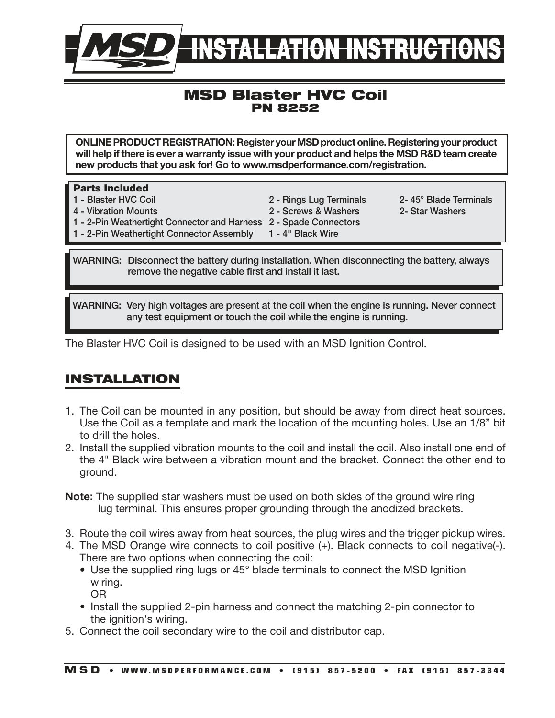

## MSD Blaster HVC Coil PN 8252

ONLINE PRODUCT REGISTRATION: Register your MSD product online. Registering your product will help if there is ever a warranty issue with your product and helps the MSD R&D team create new products that you ask for! Go to www.msdperformance.com/registration.

| <b>Parts Included</b>                                             |                         |                       |
|-------------------------------------------------------------------|-------------------------|-----------------------|
| 1 - Blaster HVC Coil                                              | 2 - Rings Lug Terminals | 2-45° Blade Terminals |
| 4 - Vibration Mounts                                              | 2 - Screws & Washers    | 2- Star Washers       |
| 1 - 2-Pin Weathertight Connector and Harness 2 - Spade Connectors |                         |                       |
| 1 - 2-Pin Weathertight Connector Assembly                         | 1 - 4" Black Wire       |                       |

WARNING: Disconnect the battery during installation. When disconnecting the battery, always remove the negative cable first and install it last.

WARNING: Very high voltages are present at the coil when the engine is running. Never connect any test equipment or touch the coil while the engine is running.

The Blaster HVC Coil is designed to be used with an MSD Ignition Control.

## INSTALLATION

- 1. The Coil can be mounted in any position, but should be away from direct heat sources. Use the Coil as a template and mark the location of the mounting holes. Use an 1/8" bit to drill the holes.
- 2. Install the supplied vibration mounts to the coil and install the coil. Also install one end of the 4" Black wire between a vibration mount and the bracket. Connect the other end to ground.
- Note: The supplied star washers must be used on both sides of the ground wire ring lug terminal. This ensures proper grounding through the anodized brackets.
- 3. Route the coil wires away from heat sources, the plug wires and the trigger pickup wires.
- 4. The MSD Orange wire connects to coil positive (+). Black connects to coil negative(-). There are two options when connecting the coil:
	- Use the supplied ring lugs or 45° blade terminals to connect the MSD Ignition wiring. OR
	- Install the supplied 2-pin harness and connect the matching 2-pin connector to the ignition's wiring.
- 5. Connect the coil secondary wire to the coil and distributor cap.